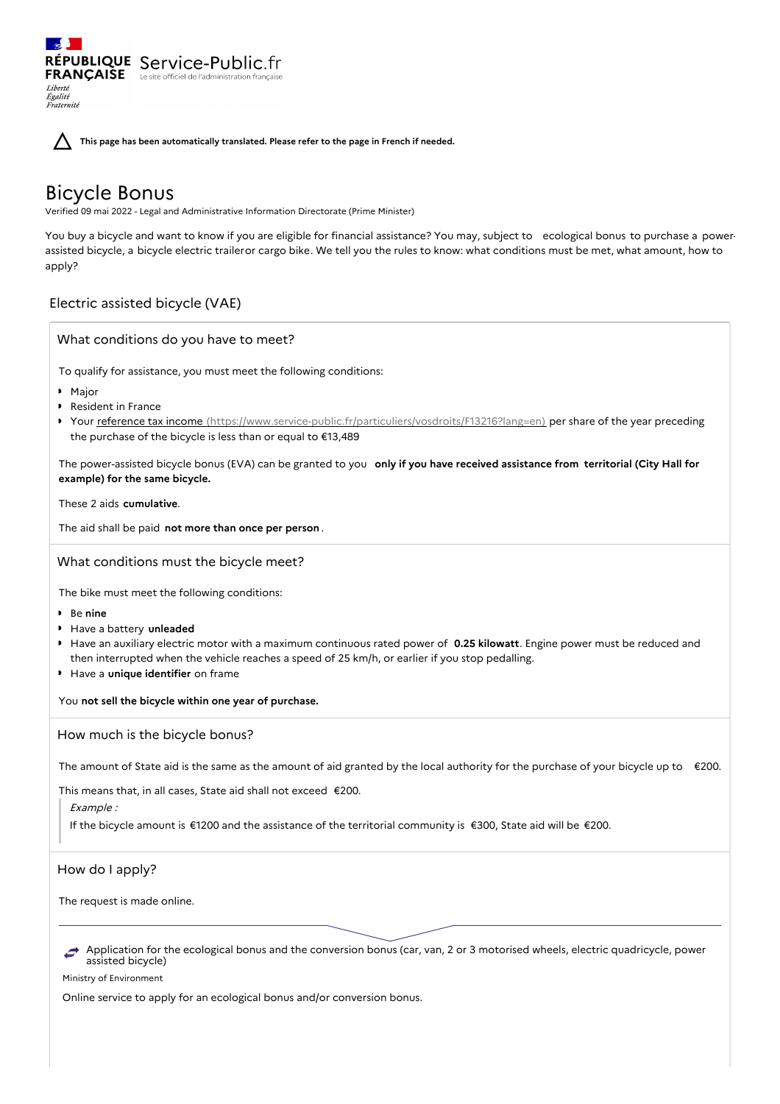RÉPUBLIQUE Service-Public.fr **FRANÇAISE** Le site officiel de l'administration fran Liberté Égalité<br>Fraternité

**This page has been automatically translated. Please refer to the page in French if needed.**

# Bicycle Bonus

Verified 09 mai 2022 - Legal and Administrative Information Directorate (Prime Minister)

You buy a bicycle and want to know if you are eligible for financial assistance? You may, subject to ecological bonus to purchase a powerassisted bicycle, a bicycle electric traileror cargo bike. We tell you the rules to know: what conditions must be met, what amount, how to apply?

## Electric assisted bicycle (VAE)

What conditions do you have to meet?

To qualify for assistance, you must meet the following conditions:

- Major
- ▶ Resident in France
- Your reference tax income [\(https://www.service-public.fr/particuliers/vosdroits/F13216?lang=en\)](https://www.service-public.fr/particuliers/vosdroits/F13216?lang=en) per share of the year preceding the purchase of the bicycle is less than or equal to €13,489

The power-assisted bicycle bonus (EVA) can be granted to you **only if you have received assistance from territorial (City Hall for example) for the same bicycle.**

These 2 aids **cumulative**.

The aid shall be paid **not more than once per person** .

What conditions must the bicycle meet?

The bike must meet the following conditions:

- Be **nine**
- Have a battery **unleaded**
- Have an auxiliary electric motor with a maximum continuous rated power of **0.25 kilowatt**. Engine power must be reduced and then interrupted when the vehicle reaches a speed of 25 km/h, or earlier if you stop pedalling.
- **Have a unique identifier** on frame

You **not sell the bicycle within one year of purchase.**

How much is the bicycle bonus?

The amount of State aid is the same as the amount of aid granted by the local authority for the purchase of your bicycle up to  $\epsilon$ 200.

This means that, in all cases, State aid shall not exceed €200.

Example :

If the bicycle amount is €1200 and the assistance of the territorial community is €300, State aid will be €200.

How do I apply?

The request is made online.

Application for the ecological bonus and the conversion bonus (car, van, 2 or 3 motorised wheels, electric quadricycle, power assisted bicycle)

Ministry of Environment

Online service to apply for an ecological bonus and/or conversion bonus.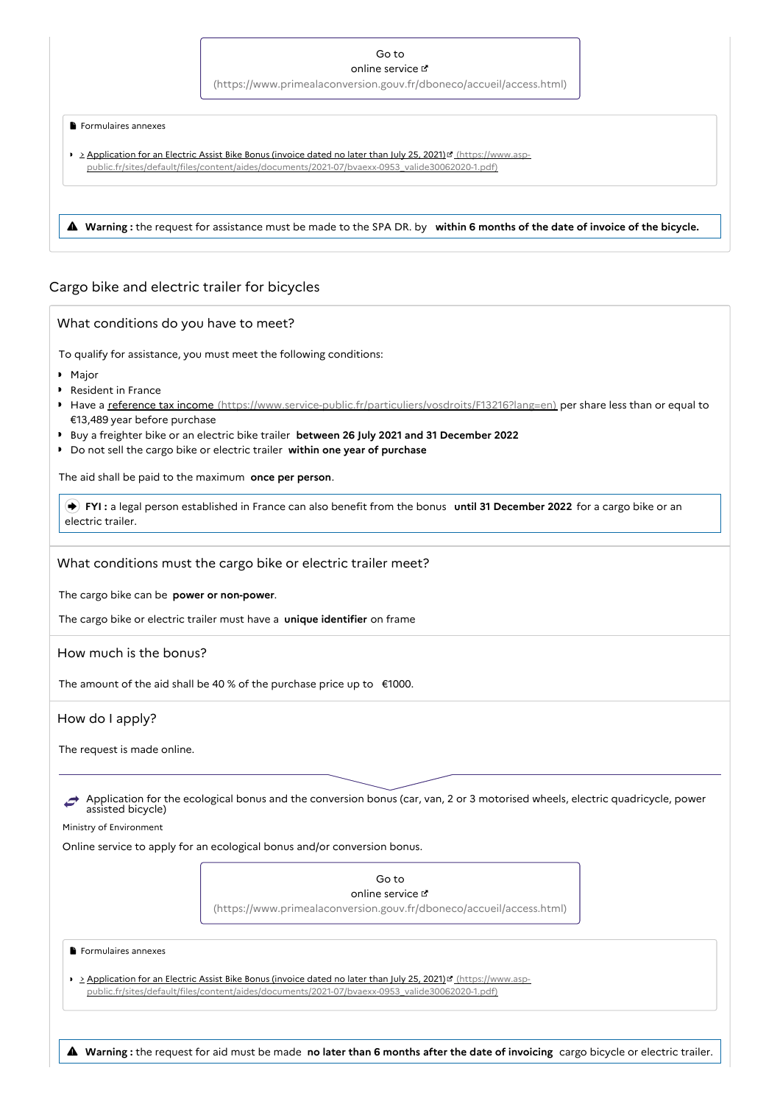### Go to

online service

[\(https://www.primealaconversion.gouv.fr/dboneco/accueil/access.html\)](https://www.primealaconversion.gouv.fr/dboneco/accueil/access.html)

### Formulaires annexes

- Application for an Electric Assist Bike Bonus (invoice dated no later than July 25, 2021) [4] (https://www.asp[public.fr/sites/default/files/content/aides/documents/2021-07/bvaexx-0953\\_valide30062020-1.pdf\)](https://www.asp-public.fr/sites/default/files/content/aides/documents/2021-07/bvaexx-0953_valide30062020-1.pdf)
- **Warning :** the request for assistance must be made to the SPA DR. by **within <sup>6</sup> months of the date of invoice of the bicycle.**

# Cargo bike and electric trailer for bicycles

| To qualify for assistance, you must meet the following conditions:<br>• Major<br>Resident in France<br>Have a reference tax income (https://www.service-public.fr/particuliers/vosdroits/F13216?lang=en) per share less than or equal to<br>€13,489 year before purchase<br>Buy a freighter bike or an electric bike trailer between 26 July 2021 and 31 December 2022<br>Do not sell the cargo bike or electric trailer within one year of purchase<br>The aid shall be paid to the maximum once per person.<br>FYI: a legal person established in France can also benefit from the bonus until 31 December 2022 for a cargo bike or an<br>electric trailer.<br>What conditions must the cargo bike or electric trailer meet?<br>The cargo bike can be power or non-power.<br>The cargo bike or electric trailer must have a unique identifier on frame<br>How much is the bonus?<br>The amount of the aid shall be 40 % of the purchase price up to $\epsilon$ 1000.<br>How do I apply?<br>The request is made online.<br>Application for the ecological bonus and the conversion bonus (car, van, 2 or 3 motorised wheels, electric quadricycle, power<br>assisted bicycle)<br>Ministry of Environment<br>Online service to apply for an ecological bonus and/or conversion bonus.<br>Go to<br>online service L'<br>(https://www.primealaconversion.gouv.fr/dboneco/accueil/access.html)<br>Formulaires annexes | What conditions do you have to meet? |  |
|--------------------------------------------------------------------------------------------------------------------------------------------------------------------------------------------------------------------------------------------------------------------------------------------------------------------------------------------------------------------------------------------------------------------------------------------------------------------------------------------------------------------------------------------------------------------------------------------------------------------------------------------------------------------------------------------------------------------------------------------------------------------------------------------------------------------------------------------------------------------------------------------------------------------------------------------------------------------------------------------------------------------------------------------------------------------------------------------------------------------------------------------------------------------------------------------------------------------------------------------------------------------------------------------------------------------------------------------------------------------------------------------------------------------|--------------------------------------|--|
|                                                                                                                                                                                                                                                                                                                                                                                                                                                                                                                                                                                                                                                                                                                                                                                                                                                                                                                                                                                                                                                                                                                                                                                                                                                                                                                                                                                                                    |                                      |  |
|                                                                                                                                                                                                                                                                                                                                                                                                                                                                                                                                                                                                                                                                                                                                                                                                                                                                                                                                                                                                                                                                                                                                                                                                                                                                                                                                                                                                                    |                                      |  |
|                                                                                                                                                                                                                                                                                                                                                                                                                                                                                                                                                                                                                                                                                                                                                                                                                                                                                                                                                                                                                                                                                                                                                                                                                                                                                                                                                                                                                    |                                      |  |
|                                                                                                                                                                                                                                                                                                                                                                                                                                                                                                                                                                                                                                                                                                                                                                                                                                                                                                                                                                                                                                                                                                                                                                                                                                                                                                                                                                                                                    |                                      |  |
|                                                                                                                                                                                                                                                                                                                                                                                                                                                                                                                                                                                                                                                                                                                                                                                                                                                                                                                                                                                                                                                                                                                                                                                                                                                                                                                                                                                                                    |                                      |  |
|                                                                                                                                                                                                                                                                                                                                                                                                                                                                                                                                                                                                                                                                                                                                                                                                                                                                                                                                                                                                                                                                                                                                                                                                                                                                                                                                                                                                                    |                                      |  |
|                                                                                                                                                                                                                                                                                                                                                                                                                                                                                                                                                                                                                                                                                                                                                                                                                                                                                                                                                                                                                                                                                                                                                                                                                                                                                                                                                                                                                    |                                      |  |
|                                                                                                                                                                                                                                                                                                                                                                                                                                                                                                                                                                                                                                                                                                                                                                                                                                                                                                                                                                                                                                                                                                                                                                                                                                                                                                                                                                                                                    |                                      |  |
|                                                                                                                                                                                                                                                                                                                                                                                                                                                                                                                                                                                                                                                                                                                                                                                                                                                                                                                                                                                                                                                                                                                                                                                                                                                                                                                                                                                                                    |                                      |  |
|                                                                                                                                                                                                                                                                                                                                                                                                                                                                                                                                                                                                                                                                                                                                                                                                                                                                                                                                                                                                                                                                                                                                                                                                                                                                                                                                                                                                                    |                                      |  |
|                                                                                                                                                                                                                                                                                                                                                                                                                                                                                                                                                                                                                                                                                                                                                                                                                                                                                                                                                                                                                                                                                                                                                                                                                                                                                                                                                                                                                    |                                      |  |
|                                                                                                                                                                                                                                                                                                                                                                                                                                                                                                                                                                                                                                                                                                                                                                                                                                                                                                                                                                                                                                                                                                                                                                                                                                                                                                                                                                                                                    |                                      |  |
|                                                                                                                                                                                                                                                                                                                                                                                                                                                                                                                                                                                                                                                                                                                                                                                                                                                                                                                                                                                                                                                                                                                                                                                                                                                                                                                                                                                                                    |                                      |  |
|                                                                                                                                                                                                                                                                                                                                                                                                                                                                                                                                                                                                                                                                                                                                                                                                                                                                                                                                                                                                                                                                                                                                                                                                                                                                                                                                                                                                                    |                                      |  |
|                                                                                                                                                                                                                                                                                                                                                                                                                                                                                                                                                                                                                                                                                                                                                                                                                                                                                                                                                                                                                                                                                                                                                                                                                                                                                                                                                                                                                    |                                      |  |
|                                                                                                                                                                                                                                                                                                                                                                                                                                                                                                                                                                                                                                                                                                                                                                                                                                                                                                                                                                                                                                                                                                                                                                                                                                                                                                                                                                                                                    |                                      |  |
|                                                                                                                                                                                                                                                                                                                                                                                                                                                                                                                                                                                                                                                                                                                                                                                                                                                                                                                                                                                                                                                                                                                                                                                                                                                                                                                                                                                                                    |                                      |  |
|                                                                                                                                                                                                                                                                                                                                                                                                                                                                                                                                                                                                                                                                                                                                                                                                                                                                                                                                                                                                                                                                                                                                                                                                                                                                                                                                                                                                                    |                                      |  |
|                                                                                                                                                                                                                                                                                                                                                                                                                                                                                                                                                                                                                                                                                                                                                                                                                                                                                                                                                                                                                                                                                                                                                                                                                                                                                                                                                                                                                    |                                      |  |
|                                                                                                                                                                                                                                                                                                                                                                                                                                                                                                                                                                                                                                                                                                                                                                                                                                                                                                                                                                                                                                                                                                                                                                                                                                                                                                                                                                                                                    |                                      |  |
|                                                                                                                                                                                                                                                                                                                                                                                                                                                                                                                                                                                                                                                                                                                                                                                                                                                                                                                                                                                                                                                                                                                                                                                                                                                                                                                                                                                                                    |                                      |  |
|                                                                                                                                                                                                                                                                                                                                                                                                                                                                                                                                                                                                                                                                                                                                                                                                                                                                                                                                                                                                                                                                                                                                                                                                                                                                                                                                                                                                                    |                                      |  |
|                                                                                                                                                                                                                                                                                                                                                                                                                                                                                                                                                                                                                                                                                                                                                                                                                                                                                                                                                                                                                                                                                                                                                                                                                                                                                                                                                                                                                    |                                      |  |
| <b>Example 2 Application for an Electric Assist Bike Bonus (invoice dated no later than July 25, 2021) I</b> (https://www.asp-<br>public.fr/sites/default/files/content/aides/documents/2021-07/bvaexx-0953 valide30062020-1.pdf)                                                                                                                                                                                                                                                                                                                                                                                                                                                                                                                                                                                                                                                                                                                                                                                                                                                                                                                                                                                                                                                                                                                                                                                  |                                      |  |